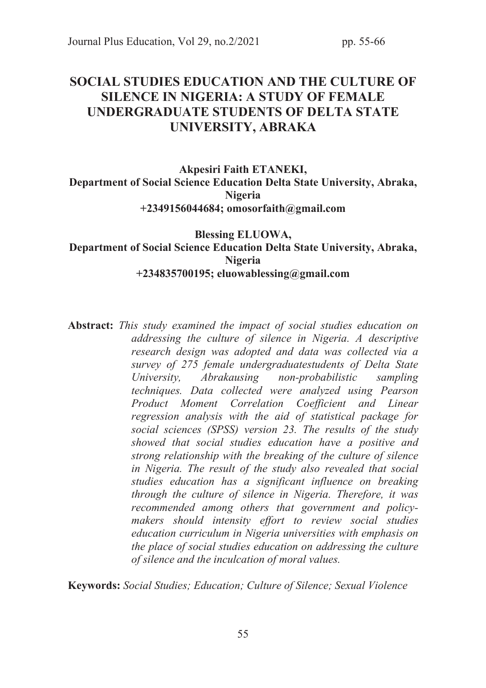# SOCIAL STUDIES EDUCATION AND THE CULTURE OF SILENCE IN NIGERIA: A STUDY OF FEMALE UNDERGRADUATE STUDENTS OF DELTA STATE UNIVERSITY, ABRAKA

# Akpesiri Faith ETANEKI, Department of Social Science Education Delta State University, Abraka, Nigeria +2349156044684; omosorfaith@gmail.com

#### Blessing ELUOWA, Department of Social Science Education Delta State University, Abraka, Nigeria +234835700195; eluowablessing@gmail.com

Abstract: *This study examined the impact of social studies education on addressing the culture of silence in Nigeria. A descriptive research design was adopted and data was collected via a survey of 275 female undergraduatestudents of Delta State University, Abrakausing non-probabilistic sampling techniques. Data collected were analyzed using Pearson Product Moment Correlation Coefficient and Linear regression analysis with the aid of statistical package for social sciences (SPSS) version 23. The results of the study showed that social studies education have a positive and strong relationship with the breaking of the culture of silence in Nigeria. The result of the study also revealed that social studies education has a significant influence on breaking through the culture of silence in Nigeria. Therefore, it was recommended among others that government and policymakers should intensity effort to review social studies education curriculum in Nigeria universities with emphasis on the place of social studies education on addressing the culture of silence and the inculcation of moral values.* 

Keywords: *Social Studies; Education; Culture of Silence; Sexual Violence*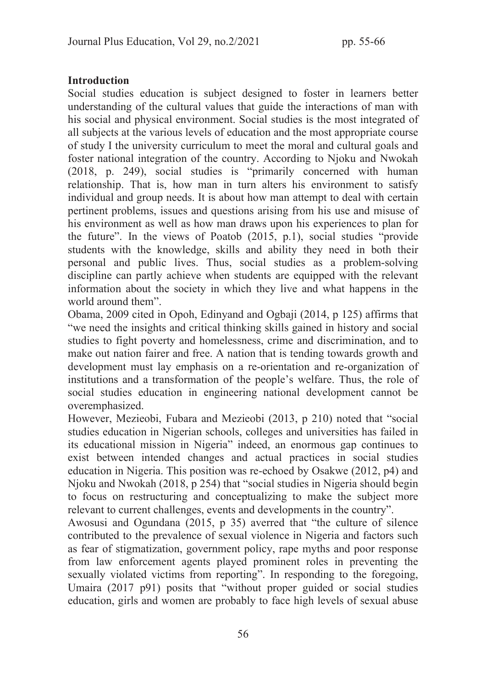### **Introduction**

Social studies education is subject designed to foster in learners better understanding of the cultural values that guide the interactions of man with his social and physical environment. Social studies is the most integrated of all subjects at the various levels of education and the most appropriate course of study I the university curriculum to meet the moral and cultural goals and foster national integration of the country. According to Njoku and Nwokah (2018, p. 249), social studies is "primarily concerned with human relationship. That is, how man in turn alters his environment to satisfy individual and group needs. It is about how man attempt to deal with certain pertinent problems, issues and questions arising from his use and misuse of his environment as well as how man draws upon his experiences to plan for the future". In the views of Poatob (2015, p.1), social studies "provide students with the knowledge, skills and ability they need in both their personal and public lives. Thus, social studies as a problem-solving discipline can partly achieve when students are equipped with the relevant information about the society in which they live and what happens in the world around them".

Obama, 2009 cited in Opoh, Edinyand and Ogbaji (2014, p 125) affirms that "we need the insights and critical thinking skills gained in history and social studies to fight poverty and homelessness, crime and discrimination, and to make out nation fairer and free. A nation that is tending towards growth and development must lay emphasis on a re-orientation and re-organization of institutions and a transformation of the people's welfare. Thus, the role of social studies education in engineering national development cannot be overemphasized.

However, Mezieobi, Fubara and Mezieobi (2013, p 210) noted that "social studies education in Nigerian schools, colleges and universities has failed in its educational mission in Nigeria" indeed, an enormous gap continues to exist between intended changes and actual practices in social studies education in Nigeria. This position was re-echoed by Osakwe (2012, p4) and Njoku and Nwokah (2018, p 254) that "social studies in Nigeria should begin to focus on restructuring and conceptualizing to make the subject more relevant to current challenges, events and developments in the country".

Awosusi and Ogundana (2015, p 35) averred that "the culture of silence contributed to the prevalence of sexual violence in Nigeria and factors such as fear of stigmatization, government policy, rape myths and poor response from law enforcement agents played prominent roles in preventing the sexually violated victims from reporting". In responding to the foregoing, Umaira (2017 p91) posits that "without proper guided or social studies education, girls and women are probably to face high levels of sexual abuse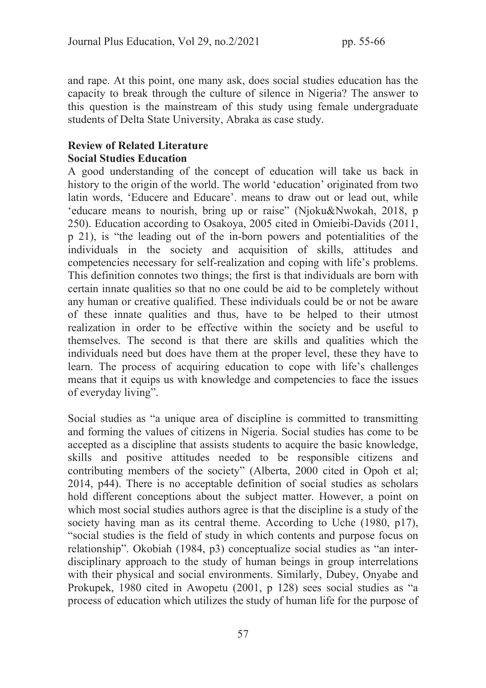and rape. At this point, one many ask, does social studies education has the capacity to break through the culture of silence in Nigeria? The answer to this question is the mainstream of this study using female undergraduate students of Delta State University, Abraka as case study.

## Review of Related Literature Social Studies Education

A good understanding of the concept of education will take us back in history to the origin of the world. The world 'education' originated from two latin words, 'Educere and Educare'. means to draw out or lead out, while 'educare means to nourish, bring up or raise" (Njoku&Nwokah, 2018, p 250). Education according to Osakoya, 2005 cited in Omieibi-Davids (2011, p 21), is "the leading out of the in-born powers and potentialities of the individuals in the society and acquisition of skills, attitudes and competencies necessary for self-realization and coping with life's problems. This definition connotes two things; the first is that individuals are born with certain innate qualities so that no one could be aid to be completely without any human or creative qualified. These individuals could be or not be aware of these innate qualities and thus, have to be helped to their utmost realization in order to be effective within the society and be useful to themselves. The second is that there are skills and qualities which the individuals need but does have them at the proper level, these they have to learn. The process of acquiring education to cope with life's challenges means that it equips us with knowledge and competencies to face the issues of everyday living".

Social studies as "a unique area of discipline is committed to transmitting and forming the values of citizens in Nigeria. Social studies has come to be accepted as a discipline that assists students to acquire the basic knowledge, skills and positive attitudes needed to be responsible citizens and contributing members of the society" (Alberta, 2000 cited in Opoh et al; 2014, p44). There is no acceptable definition of social studies as scholars hold different conceptions about the subject matter. However, a point on which most social studies authors agree is that the discipline is a study of the society having man as its central theme. According to Uche (1980, p17), "social studies is the field of study in which contents and purpose focus on relationship". Okobiah (1984, p3) conceptualize social studies as "an interdisciplinary approach to the study of human beings in group interrelations with their physical and social environments. Similarly, Dubey, Onyabe and Prokupek, 1980 cited in Awopetu (2001, p 128) sees social studies as "a process of education which utilizes the study of human life for the purpose of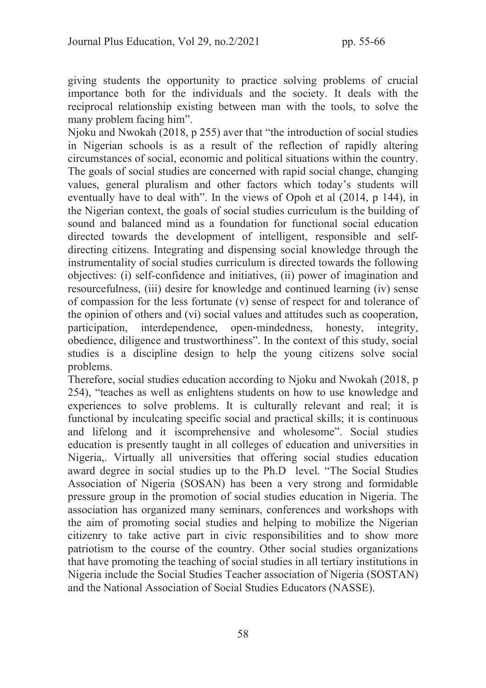giving students the opportunity to practice solving problems of crucial importance both for the individuals and the society. It deals with the reciprocal relationship existing between man with the tools, to solve the many problem facing him".

Njoku and Nwokah (2018, p 255) aver that "the introduction of social studies in Nigerian schools is as a result of the reflection of rapidly altering circumstances of social, economic and political situations within the country. The goals of social studies are concerned with rapid social change, changing values, general pluralism and other factors which today's students will eventually have to deal with". In the views of Opoh et al (2014, p 144), in the Nigerian context, the goals of social studies curriculum is the building of sound and balanced mind as a foundation for functional social education directed towards the development of intelligent, responsible and selfdirecting citizens. Integrating and dispensing social knowledge through the instrumentality of social studies curriculum is directed towards the following objectives: (i) self-confidence and initiatives, (ii) power of imagination and resourcefulness, (iii) desire for knowledge and continued learning (iv) sense of compassion for the less fortunate (v) sense of respect for and tolerance of the opinion of others and (vi) social values and attitudes such as cooperation, participation, interdependence, open-mindedness, honesty, integrity, obedience, diligence and trustworthiness". In the context of this study, social studies is a discipline design to help the young citizens solve social problems.

Therefore, social studies education according to Njoku and Nwokah (2018, p 254), "teaches as well as enlightens students on how to use knowledge and experiences to solve problems. It is culturally relevant and real; it is functional by inculcating specific social and practical skills; it is continuous and lifelong and it iscomprehensive and wholesome". Social studies education is presently taught in all colleges of education and universities in Nigeria,. Virtually all universities that offering social studies education award degree in social studies up to the Ph.D level. "The Social Studies Association of Nigeria (SOSAN) has been a very strong and formidable pressure group in the promotion of social studies education in Nigeria. The association has organized many seminars, conferences and workshops with the aim of promoting social studies and helping to mobilize the Nigerian citizenry to take active part in civic responsibilities and to show more patriotism to the course of the country. Other social studies organizations that have promoting the teaching of social studies in all tertiary institutions in Nigeria include the Social Studies Teacher association of Nigeria (SOSTAN) and the National Association of Social Studies Educators (NASSE).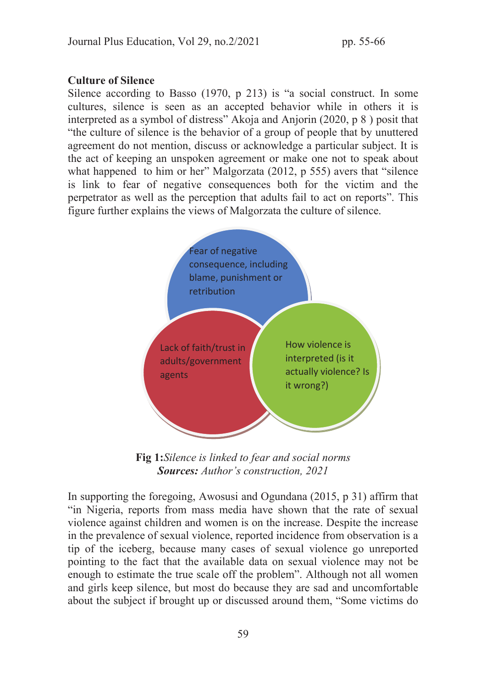#### Culture of Silence

Silence according to Basso (1970, p 213) is "a social construct. In some cultures, silence is seen as an accepted behavior while in others it is interpreted as a symbol of distress" Akoja and Anjorin (2020, p 8 ) posit that "the culture of silence is the behavior of a group of people that by unuttered agreement do not mention, discuss or acknowledge a particular subject. It is the act of keeping an unspoken agreement or make one not to speak about what happened to him or her" Malgorzata (2012, p 555) avers that "silence is link to fear of negative consequences both for the victim and the perpetrator as well as the perception that adults fail to act on reports". This figure further explains the views of Malgorzata the culture of silence.



Fig 1:*Silence is linked to fear and social norms*  Sources: *Author's construction, 2021* 

In supporting the foregoing, Awosusi and Ogundana (2015, p 31) affirm that "in Nigeria, reports from mass media have shown that the rate of sexual violence against children and women is on the increase. Despite the increase in the prevalence of sexual violence, reported incidence from observation is a tip of the iceberg, because many cases of sexual violence go unreported pointing to the fact that the available data on sexual violence may not be enough to estimate the true scale off the problem". Although not all women and girls keep silence, but most do because they are sad and uncomfortable about the subject if brought up or discussed around them, "Some victims do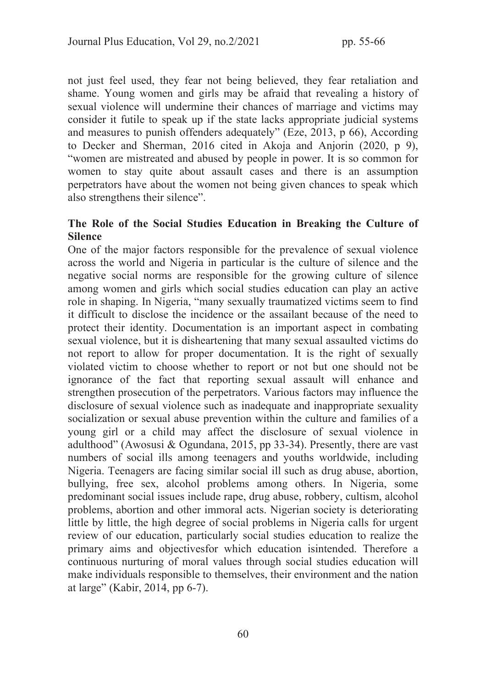not just feel used, they fear not being believed, they fear retaliation and shame. Young women and girls may be afraid that revealing a history of sexual violence will undermine their chances of marriage and victims may consider it futile to speak up if the state lacks appropriate judicial systems and measures to punish offenders adequately" (Eze, 2013, p 66), According to Decker and Sherman, 2016 cited in Akoja and Anjorin (2020, p 9), "women are mistreated and abused by people in power. It is so common for women to stay quite about assault cases and there is an assumption perpetrators have about the women not being given chances to speak which also strengthens their silence".

#### The Role of the Social Studies Education in Breaking the Culture of Silence

One of the major factors responsible for the prevalence of sexual violence across the world and Nigeria in particular is the culture of silence and the negative social norms are responsible for the growing culture of silence among women and girls which social studies education can play an active role in shaping. In Nigeria, "many sexually traumatized victims seem to find it difficult to disclose the incidence or the assailant because of the need to protect their identity. Documentation is an important aspect in combating sexual violence, but it is disheartening that many sexual assaulted victims do not report to allow for proper documentation. It is the right of sexually violated victim to choose whether to report or not but one should not be ignorance of the fact that reporting sexual assault will enhance and strengthen prosecution of the perpetrators. Various factors may influence the disclosure of sexual violence such as inadequate and inappropriate sexuality socialization or sexual abuse prevention within the culture and families of a young girl or a child may affect the disclosure of sexual violence in adulthood" (Awosusi & Ogundana, 2015, pp 33-34). Presently, there are vast numbers of social ills among teenagers and youths worldwide, including Nigeria. Teenagers are facing similar social ill such as drug abuse, abortion, bullying, free sex, alcohol problems among others. In Nigeria, some predominant social issues include rape, drug abuse, robbery, cultism, alcohol problems, abortion and other immoral acts. Nigerian society is deteriorating little by little, the high degree of social problems in Nigeria calls for urgent review of our education, particularly social studies education to realize the primary aims and objectivesfor which education isintended. Therefore a continuous nurturing of moral values through social studies education will make individuals responsible to themselves, their environment and the nation at large" (Kabir, 2014, pp 6-7).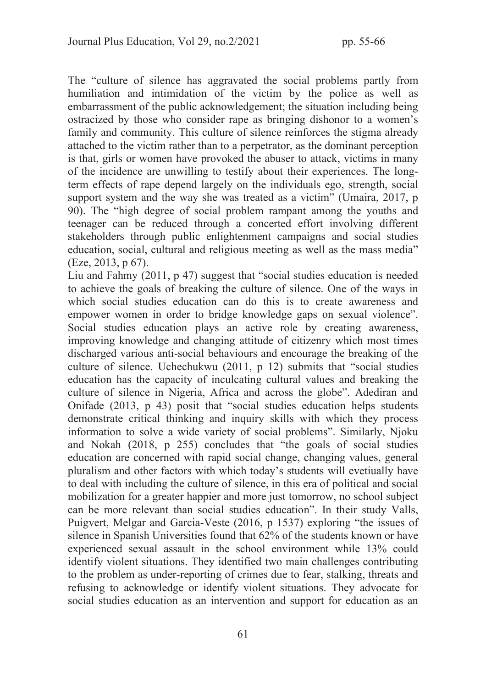The "culture of silence has aggravated the social problems partly from humiliation and intimidation of the victim by the police as well as embarrassment of the public acknowledgement; the situation including being ostracized by those who consider rape as bringing dishonor to a women's family and community. This culture of silence reinforces the stigma already attached to the victim rather than to a perpetrator, as the dominant perception is that, girls or women have provoked the abuser to attack, victims in many of the incidence are unwilling to testify about their experiences. The longterm effects of rape depend largely on the individuals ego, strength, social support system and the way she was treated as a victim" (Umaira, 2017, p. 90). The "high degree of social problem rampant among the youths and teenager can be reduced through a concerted effort involving different stakeholders through public enlightenment campaigns and social studies education, social, cultural and religious meeting as well as the mass media" (Eze, 2013, p 67).

Liu and Fahmy (2011, p 47) suggest that "social studies education is needed to achieve the goals of breaking the culture of silence. One of the ways in which social studies education can do this is to create awareness and empower women in order to bridge knowledge gaps on sexual violence". Social studies education plays an active role by creating awareness, improving knowledge and changing attitude of citizenry which most times discharged various anti-social behaviours and encourage the breaking of the culture of silence. Uchechukwu (2011, p 12) submits that "social studies education has the capacity of inculcating cultural values and breaking the culture of silence in Nigeria, Africa and across the globe". Adediran and Onifade (2013, p 43) posit that "social studies education helps students demonstrate critical thinking and inquiry skills with which they process information to solve a wide variety of social problems". Similarly, Njoku and Nokah (2018, p 255) concludes that "the goals of social studies education are concerned with rapid social change, changing values, general pluralism and other factors with which today's students will evetiually have to deal with including the culture of silence, in this era of political and social mobilization for a greater happier and more just tomorrow, no school subject can be more relevant than social studies education". In their study Valls, Puigvert, Melgar and Garcia-Veste (2016, p 1537) exploring "the issues of silence in Spanish Universities found that 62% of the students known or have experienced sexual assault in the school environment while 13% could identify violent situations. They identified two main challenges contributing to the problem as under-reporting of crimes due to fear, stalking, threats and refusing to acknowledge or identify violent situations. They advocate for social studies education as an intervention and support for education as an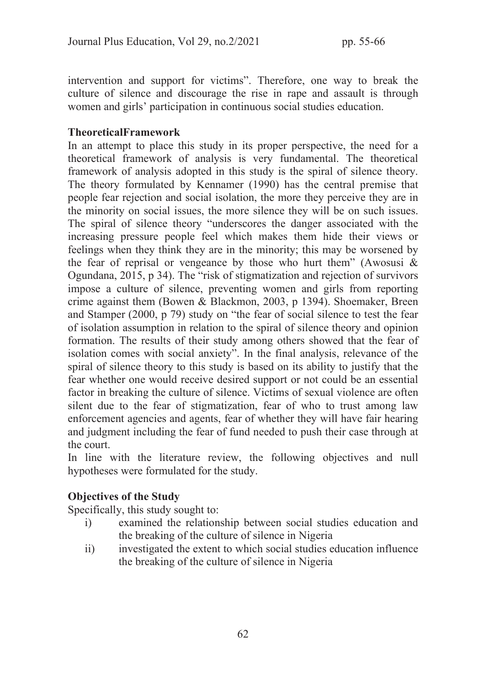intervention and support for victims". Therefore, one way to break the culture of silence and discourage the rise in rape and assault is through women and girls' participation in continuous social studies education.

#### TheoreticalFramework

In an attempt to place this study in its proper perspective, the need for a theoretical framework of analysis is very fundamental. The theoretical framework of analysis adopted in this study is the spiral of silence theory. The theory formulated by Kennamer (1990) has the central premise that people fear rejection and social isolation, the more they perceive they are in the minority on social issues, the more silence they will be on such issues. The spiral of silence theory "underscores the danger associated with the increasing pressure people feel which makes them hide their views or feelings when they think they are in the minority; this may be worsened by the fear of reprisal or vengeance by those who hurt them" (Awosusi  $\&$ Ogundana, 2015, p 34). The "risk of stigmatization and rejection of survivors impose a culture of silence, preventing women and girls from reporting crime against them (Bowen & Blackmon, 2003, p 1394). Shoemaker, Breen and Stamper (2000, p 79) study on "the fear of social silence to test the fear of isolation assumption in relation to the spiral of silence theory and opinion formation. The results of their study among others showed that the fear of isolation comes with social anxiety". In the final analysis, relevance of the spiral of silence theory to this study is based on its ability to justify that the fear whether one would receive desired support or not could be an essential factor in breaking the culture of silence. Victims of sexual violence are often silent due to the fear of stigmatization, fear of who to trust among law enforcement agencies and agents, fear of whether they will have fair hearing and judgment including the fear of fund needed to push their case through at the court.

In line with the literature review, the following objectives and null hypotheses were formulated for the study.

### Objectives of the Study

Specifically, this study sought to:

- i) examined the relationship between social studies education and the breaking of the culture of silence in Nigeria
- ii) investigated the extent to which social studies education influence the breaking of the culture of silence in Nigeria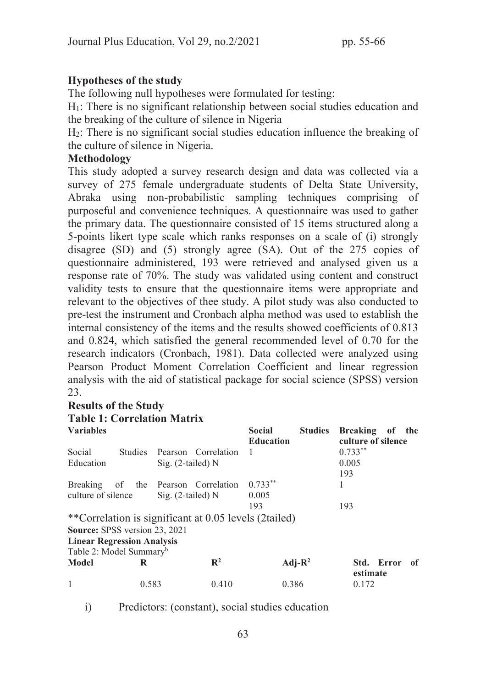# Hypotheses of the study

The following null hypotheses were formulated for testing:

H1: There is no significant relationship between social studies education and the breaking of the culture of silence in Nigeria

H2: There is no significant social studies education influence the breaking of the culture of silence in Nigeria.

#### Methodology

This study adopted a survey research design and data was collected via a survey of 275 female undergraduate students of Delta State University, Abraka using non-probabilistic sampling techniques comprising of purposeful and convenience techniques. A questionnaire was used to gather the primary data. The questionnaire consisted of 15 items structured along a 5-points likert type scale which ranks responses on a scale of (i) strongly disagree (SD) and (5) strongly agree (SA). Out of the 275 copies of questionnaire administered, 193 were retrieved and analysed given us a response rate of 70%. The study was validated using content and construct validity tests to ensure that the questionnaire items were appropriate and relevant to the objectives of thee study. A pilot study was also conducted to pre-test the instrument and Cronbach alpha method was used to establish the internal consistency of the items and the results showed coefficients of 0.813 and 0.824, which satisfied the general recommended level of 0.70 for the research indicators (Cronbach, 1981). Data collected were analyzed using Pearson Product Moment Correlation Coefficient and linear regression analysis with the aid of statistical package for social science (SPSS) version 23.

### Results of the Study

# Table 1: Correlation Matrix

| <b>Variables</b>                     |       |                      |                                                       | <b>Social</b><br><b>Education</b> | <b>Studies</b> | <b>Breaking</b><br>culture of silence | - of | the |
|--------------------------------------|-------|----------------------|-------------------------------------------------------|-----------------------------------|----------------|---------------------------------------|------|-----|
| Social<br>Studies                    |       |                      | Pearson Correlation                                   | -1                                |                | $0.733***$                            |      |     |
| Education                            |       | Sig. $(2$ -tailed) N |                                                       |                                   |                | 0.005                                 |      |     |
|                                      |       |                      |                                                       |                                   |                | 193                                   |      |     |
| Breaking                             |       |                      | of the Pearson Correlation                            | $0.733***$                        |                |                                       |      |     |
| culture of silence                   |       | Sig. $(2$ -tailed) N |                                                       | 0.005                             |                |                                       |      |     |
|                                      |       |                      |                                                       | 193                               |                | 193                                   |      |     |
|                                      |       |                      | **Correlation is significant at 0.05 levels (2tailed) |                                   |                |                                       |      |     |
| <b>Source: SPSS version 23, 2021</b> |       |                      |                                                       |                                   |                |                                       |      |     |
| <b>Linear Regression Analysis</b>    |       |                      |                                                       |                                   |                |                                       |      |     |
| Table 2: Model Summary <sup>b</sup>  |       |                      |                                                       |                                   |                |                                       |      |     |
| <b>Model</b>                         | R     |                      | $\mathbb{R}^2$                                        |                                   | $Adj-R^2$      | Std. Error<br>estimate                |      | of  |
|                                      | 0.583 |                      | 0.410                                                 |                                   | 0.386          | 0.172                                 |      |     |

i) Predictors: (constant), social studies education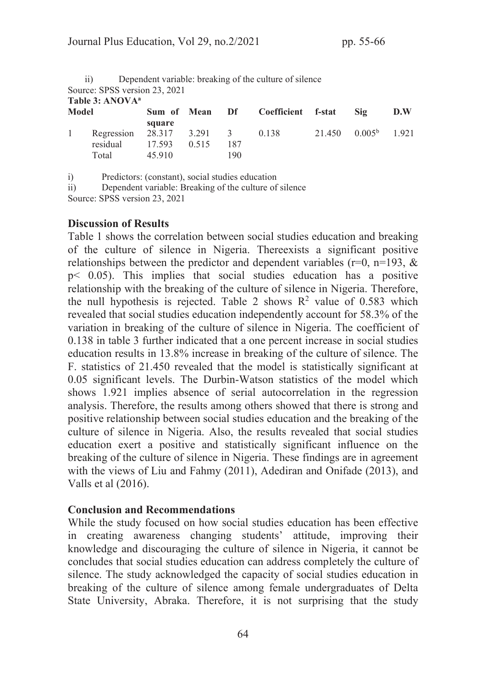|                             | Dependent variable: breaking of the culture of silence<br>11) |             |       |                |                    |        |                       |     |  |  |  |  |  |
|-----------------------------|---------------------------------------------------------------|-------------|-------|----------------|--------------------|--------|-----------------------|-----|--|--|--|--|--|
|                             | Source: SPSS version 23, 2021                                 |             |       |                |                    |        |                       |     |  |  |  |  |  |
| Table 3: ANOVA <sup>a</sup> |                                                               |             |       |                |                    |        |                       |     |  |  |  |  |  |
| <b>Model</b>                |                                                               | Sum of Mean |       | Df br          | Coefficient f-stat |        | Sig                   | D.W |  |  |  |  |  |
|                             |                                                               | square      |       |                |                    |        |                       |     |  |  |  |  |  |
|                             | Regression 28.317 3.291                                       |             |       | $\overline{3}$ | 0.138              | 21.450 | $0.005^{\rm b}$ 1.921 |     |  |  |  |  |  |
|                             | residual                                                      | 17.593      | 0.515 | 187            |                    |        |                       |     |  |  |  |  |  |
|                             | Total                                                         | 45.910      |       | 190            |                    |        |                       |     |  |  |  |  |  |

i) Predictors: (constant), social studies education

ii) Dependent variable: Breaking of the culture of silence

Source: SPSS version 23, 2021

#### Discussion of Results

Table 1 shows the correlation between social studies education and breaking of the culture of silence in Nigeria. Thereexists a significant positive relationships between the predictor and dependent variables ( $r=0$ ,  $n=193$ ,  $\&$ p< 0.05). This implies that social studies education has a positive relationship with the breaking of the culture of silence in Nigeria. Therefore, the null hypothesis is rejected. Table 2 shows  $R^2$  value of 0.583 which revealed that social studies education independently account for 58.3% of the variation in breaking of the culture of silence in Nigeria. The coefficient of 0.138 in table 3 further indicated that a one percent increase in social studies education results in 13.8% increase in breaking of the culture of silence. The F. statistics of 21.450 revealed that the model is statistically significant at 0.05 significant levels. The Durbin-Watson statistics of the model which shows 1.921 implies absence of serial autocorrelation in the regression analysis. Therefore, the results among others showed that there is strong and positive relationship between social studies education and the breaking of the culture of silence in Nigeria. Also, the results revealed that social studies education exert a positive and statistically significant influence on the breaking of the culture of silence in Nigeria. These findings are in agreement with the views of Liu and Fahmy (2011), Adediran and Onifade (2013), and Valls et al (2016).

#### Conclusion and Recommendations

While the study focused on how social studies education has been effective in creating awareness changing students' attitude, improving their knowledge and discouraging the culture of silence in Nigeria, it cannot be concludes that social studies education can address completely the culture of silence. The study acknowledged the capacity of social studies education in breaking of the culture of silence among female undergraduates of Delta State University, Abraka. Therefore, it is not surprising that the study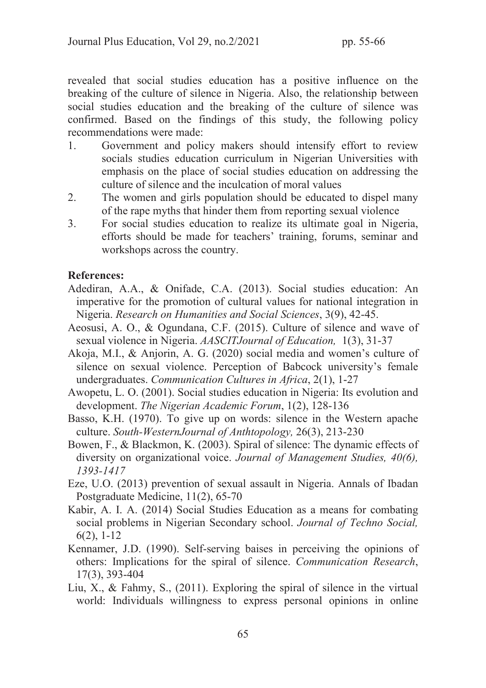revealed that social studies education has a positive influence on the breaking of the culture of silence in Nigeria. Also, the relationship between social studies education and the breaking of the culture of silence was confirmed. Based on the findings of this study, the following policy recommendations were made:

- 1. Government and policy makers should intensify effort to review socials studies education curriculum in Nigerian Universities with emphasis on the place of social studies education on addressing the culture of silence and the inculcation of moral values
- 2. The women and girls population should be educated to dispel many of the rape myths that hinder them from reporting sexual violence
- 3. For social studies education to realize its ultimate goal in Nigeria, efforts should be made for teachers' training, forums, seminar and workshops across the country.

#### References:

- Adediran, A.A., & Onifade, C.A. (2013). Social studies education: An imperative for the promotion of cultural values for national integration in Nigeria. *Research on Humanities and Social Sciences*, 3(9), 42-45.
- Aeosusi, A. O., & Ogundana, C.F. (2015). Culture of silence and wave of sexual violence in Nigeria. *AASCITJournal of Education,* 1(3), 31-37
- Akoja, M.I., & Anjorin, A. G. (2020) social media and women's culture of silence on sexual violence. Perception of Babcock university's female undergraduates. *Communication Cultures in Africa*, 2(1), 1-27
- Awopetu, L. O. (2001). Social studies education in Nigeria: Its evolution and development. *The Nigerian Academic Forum*, 1(2), 128-136
- Basso, K.H. (1970). To give up on words: silence in the Western apache culture. *South-WesternJournal of Anthtopology,* 26(3), 213-230
- Bowen, F., & Blackmon, K. (2003). Spiral of silence: The dynamic effects of diversity on organizational voice. *Journal of Management Studies, 40(6), 1393-1417*
- Eze, U.O. (2013) prevention of sexual assault in Nigeria. Annals of Ibadan Postgraduate Medicine, 11(2), 65-70
- Kabir, A. I. A. (2014) Social Studies Education as a means for combating social problems in Nigerian Secondary school. *Journal of Techno Social,*  6(2), 1-12
- Kennamer, J.D. (1990). Self-serving baises in perceiving the opinions of others: Implications for the spiral of silence. *Communication Research*, 17(3), 393-404
- Liu, X., & Fahmy, S., (2011). Exploring the spiral of silence in the virtual world: Individuals willingness to express personal opinions in online